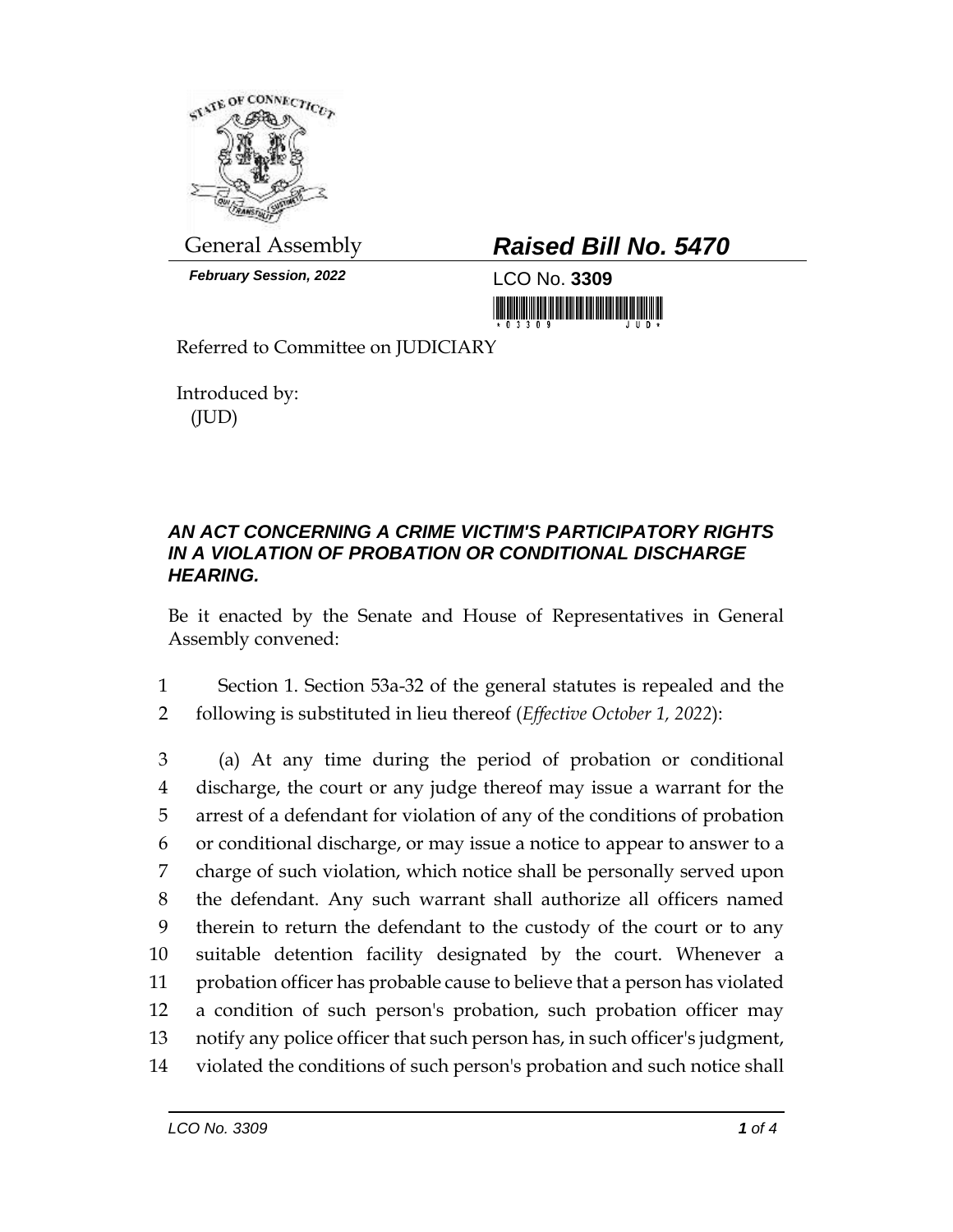

*February Session, 2022* LCO No. **3309**

## General Assembly *Raised Bill No. 5470*

<u> 1999 - Johann Barnett, fransk politik (</u>

Referred to Committee on JUDICIARY

Introduced by: (JUD)

## *AN ACT CONCERNING A CRIME VICTIM'S PARTICIPATORY RIGHTS IN A VIOLATION OF PROBATION OR CONDITIONAL DISCHARGE HEARING.*

Be it enacted by the Senate and House of Representatives in General Assembly convened:

1 Section 1. Section 53a-32 of the general statutes is repealed and the 2 following is substituted in lieu thereof (*Effective October 1, 2022*):

 (a) At any time during the period of probation or conditional discharge, the court or any judge thereof may issue a warrant for the arrest of a defendant for violation of any of the conditions of probation or conditional discharge, or may issue a notice to appear to answer to a charge of such violation, which notice shall be personally served upon the defendant. Any such warrant shall authorize all officers named therein to return the defendant to the custody of the court or to any suitable detention facility designated by the court. Whenever a probation officer has probable cause to believe that a person has violated a condition of such person's probation, such probation officer may notify any police officer that such person has, in such officer's judgment, violated the conditions of such person's probation and such notice shall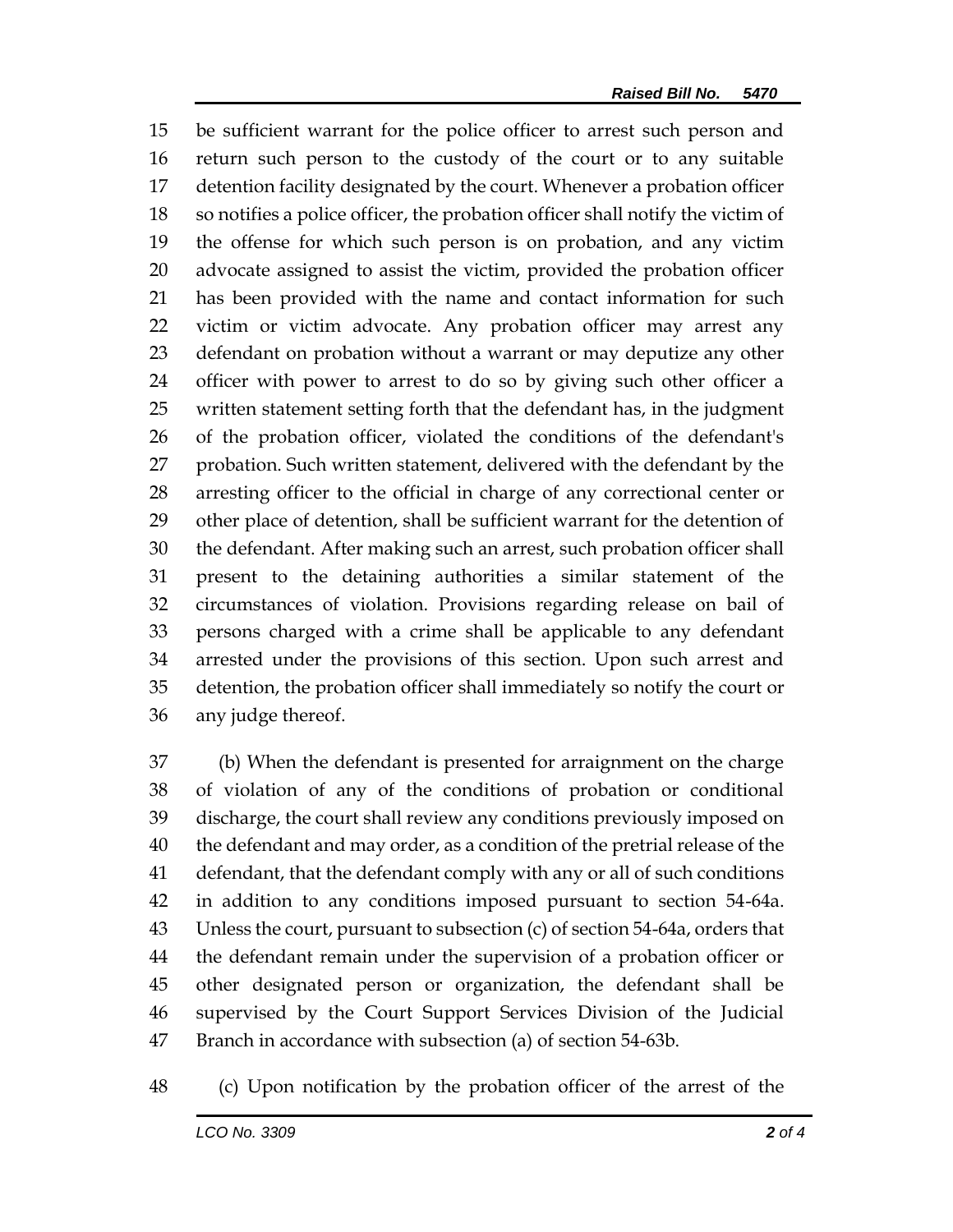be sufficient warrant for the police officer to arrest such person and return such person to the custody of the court or to any suitable detention facility designated by the court. Whenever a probation officer so notifies a police officer, the probation officer shall notify the victim of the offense for which such person is on probation, and any victim advocate assigned to assist the victim, provided the probation officer has been provided with the name and contact information for such victim or victim advocate. Any probation officer may arrest any defendant on probation without a warrant or may deputize any other officer with power to arrest to do so by giving such other officer a written statement setting forth that the defendant has, in the judgment of the probation officer, violated the conditions of the defendant's probation. Such written statement, delivered with the defendant by the arresting officer to the official in charge of any correctional center or other place of detention, shall be sufficient warrant for the detention of the defendant. After making such an arrest, such probation officer shall present to the detaining authorities a similar statement of the circumstances of violation. Provisions regarding release on bail of persons charged with a crime shall be applicable to any defendant arrested under the provisions of this section. Upon such arrest and detention, the probation officer shall immediately so notify the court or any judge thereof.

 (b) When the defendant is presented for arraignment on the charge of violation of any of the conditions of probation or conditional discharge, the court shall review any conditions previously imposed on the defendant and may order, as a condition of the pretrial release of the defendant, that the defendant comply with any or all of such conditions in addition to any conditions imposed pursuant to section 54-64a. Unless the court, pursuant to subsection (c) of section 54-64a, orders that the defendant remain under the supervision of a probation officer or other designated person or organization, the defendant shall be supervised by the Court Support Services Division of the Judicial Branch in accordance with subsection (a) of section 54-63b.

(c) Upon notification by the probation officer of the arrest of the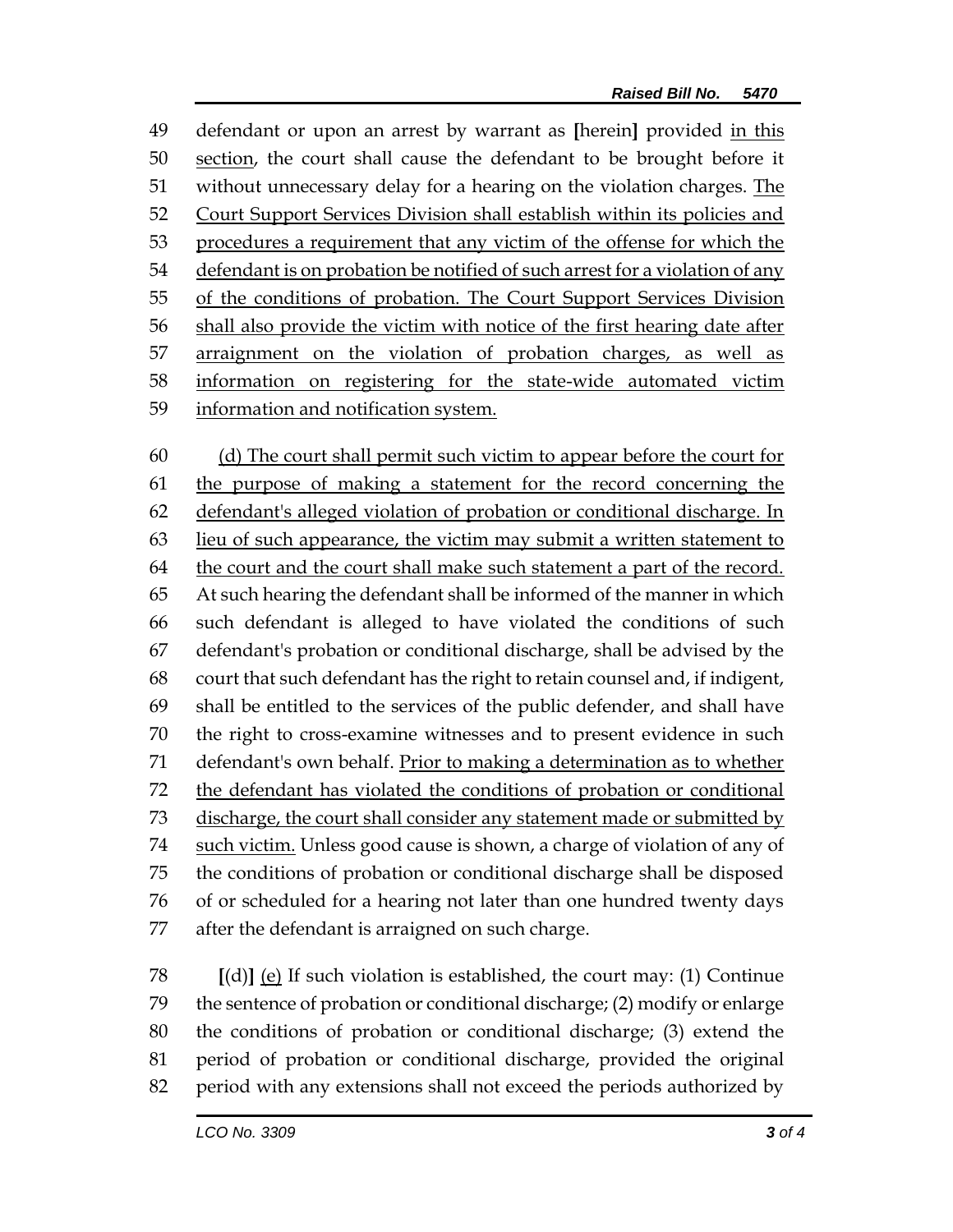defendant or upon an arrest by warrant as **[**herein**]** provided in this section, the court shall cause the defendant to be brought before it 51 without unnecessary delay for a hearing on the violation charges. The Court Support Services Division shall establish within its policies and procedures a requirement that any victim of the offense for which the 54 defendant is on probation be notified of such arrest for a violation of any 55 of the conditions of probation. The Court Support Services Division shall also provide the victim with notice of the first hearing date after arraignment on the violation of probation charges, as well as information on registering for the state-wide automated victim information and notification system.

 (d) The court shall permit such victim to appear before the court for the purpose of making a statement for the record concerning the defendant's alleged violation of probation or conditional discharge. In lieu of such appearance, the victim may submit a written statement to the court and the court shall make such statement a part of the record. At such hearing the defendant shall be informed of the manner in which such defendant is alleged to have violated the conditions of such defendant's probation or conditional discharge, shall be advised by the court that such defendant has the right to retain counsel and, if indigent, shall be entitled to the services of the public defender, and shall have the right to cross-examine witnesses and to present evidence in such defendant's own behalf. Prior to making a determination as to whether the defendant has violated the conditions of probation or conditional 73 discharge, the court shall consider any statement made or submitted by 74 such victim. Unless good cause is shown, a charge of violation of any of the conditions of probation or conditional discharge shall be disposed of or scheduled for a hearing not later than one hundred twenty days after the defendant is arraigned on such charge.

 **[**(d)**]** (e) If such violation is established, the court may: (1) Continue the sentence of probation or conditional discharge; (2) modify or enlarge the conditions of probation or conditional discharge; (3) extend the period of probation or conditional discharge, provided the original period with any extensions shall not exceed the periods authorized by